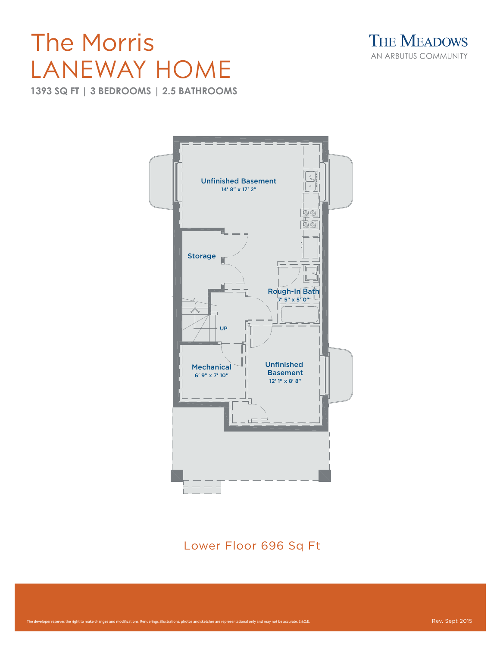## LANEWAY HOME The Morris

**1393 SQ FT | 3 BEDROOMS | 2.5 BATHROOMS** 





Lower Floor 696 Sq Ft the state of the state of the state of the state of the state of the state of the state o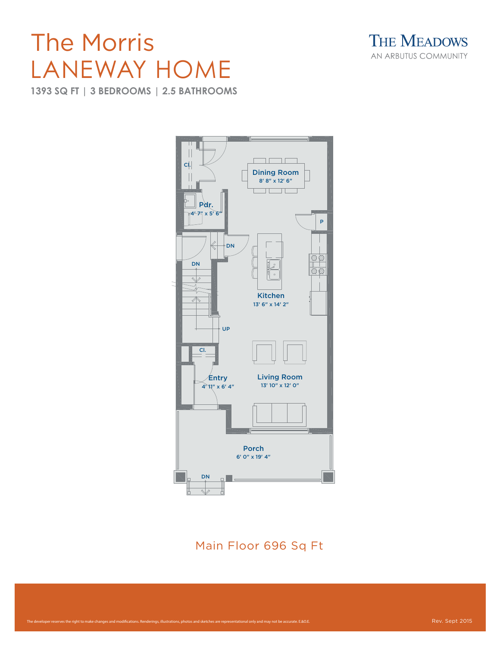## LANEWAY HOME The Morris

**1393 SQ FT | 3 BEDROOMS | 2.5 BATHROOMS** 





Main Floor 696 Sq Ft